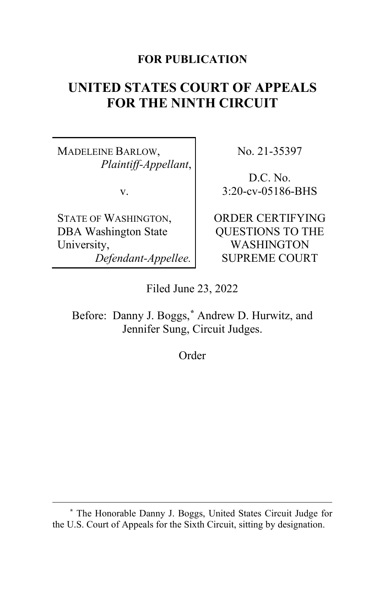## **FOR PUBLICATION**

# **UNITED STATES COURT OF APPEALS FOR THE NINTH CIRCUIT**

MADELEINE BARLOW, *Plaintiff-Appellant*,

v.

STATE OF WASHINGTON, DBA Washington State University, *Defendant-Appellee.* No. 21-35397

D.C. No. 3:20-cv-05186-BHS

ORDER CERTIFYING QUESTIONS TO THE WASHINGTON SUPREME COURT

Filed June 23, 2022

Before: Danny J. Boggs,**[\\*](#page-0-0)** Andrew D. Hurwitz, and Jennifer Sung, Circuit Judges.

Order

<span id="page-0-0"></span>**<sup>\*</sup>** The Honorable Danny J. Boggs, United States Circuit Judge for the U.S. Court of Appeals for the Sixth Circuit, sitting by designation.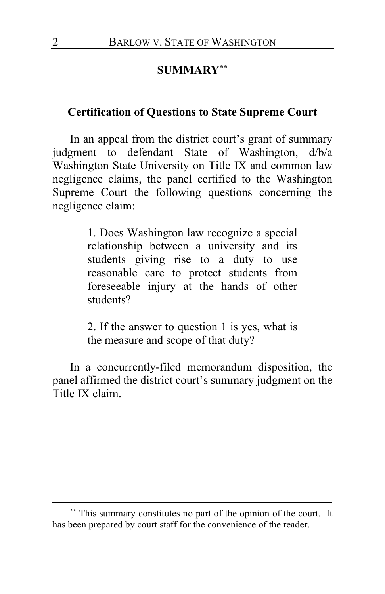## **SUMMARY[\\*\\*](#page-1-0)**

### **Certification of Questions to State Supreme Court**

In an appeal from the district court's grant of summary judgment to defendant State of Washington, d/b/a Washington State University on Title IX and common law negligence claims, the panel certified to the Washington Supreme Court the following questions concerning the negligence claim:

> 1. Does Washington law recognize a special relationship between a university and its students giving rise to a duty to use reasonable care to protect students from foreseeable injury at the hands of other students?

> 2. If the answer to question 1 is yes, what is the measure and scope of that duty?

In a concurrently-filed memorandum disposition, the panel affirmed the district court's summary judgment on the Title IX claim.

<span id="page-1-0"></span>**<sup>\*\*</sup>** This summary constitutes no part of the opinion of the court. It has been prepared by court staff for the convenience of the reader.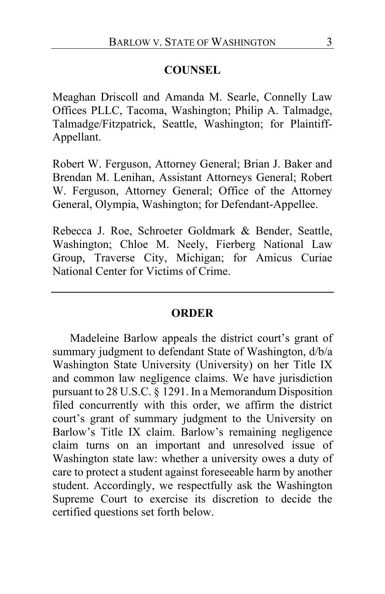#### **COUNSEL**

Meaghan Driscoll and Amanda M. Searle, Connelly Law Offices PLLC, Tacoma, Washington; Philip A. Talmadge, Talmadge/Fitzpatrick, Seattle, Washington; for Plaintiff-Appellant.

Robert W. Ferguson, Attorney General; Brian J. Baker and Brendan M. Lenihan, Assistant Attorneys General; Robert W. Ferguson, Attorney General; Office of the Attorney General, Olympia, Washington; for Defendant-Appellee.

Rebecca J. Roe, Schroeter Goldmark & Bender, Seattle, Washington; Chloe M. Neely, Fierberg National Law Group, Traverse City, Michigan; for Amicus Curiae National Center for Victims of Crime.

#### **ORDER**

Madeleine Barlow appeals the district court's grant of summary judgment to defendant State of Washington, d/b/a Washington State University (University) on her Title IX and common law negligence claims. We have jurisdiction pursuant to 28 U.S.C. § 1291. In a Memorandum Disposition filed concurrently with this order, we affirm the district court's grant of summary judgment to the University on Barlow's Title IX claim. Barlow's remaining negligence claim turns on an important and unresolved issue of Washington state law: whether a university owes a duty of care to protect a student against foreseeable harm by another student. Accordingly, we respectfully ask the Washington Supreme Court to exercise its discretion to decide the certified questions set forth below.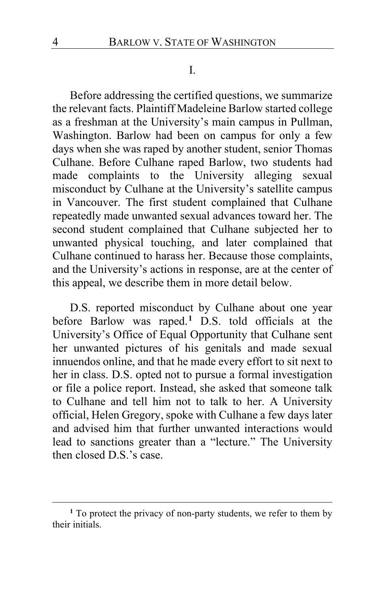I.

Before addressing the certified questions, we summarize the relevant facts. Plaintiff Madeleine Barlow started college as a freshman at the University's main campus in Pullman, Washington. Barlow had been on campus for only a few days when she was raped by another student, senior Thomas Culhane. Before Culhane raped Barlow, two students had made complaints to the University alleging sexual misconduct by Culhane at the University's satellite campus in Vancouver. The first student complained that Culhane repeatedly made unwanted sexual advances toward her. The second student complained that Culhane subjected her to unwanted physical touching, and later complained that Culhane continued to harass her. Because those complaints, and the University's actions in response, are at the center of this appeal, we describe them in more detail below.

D.S. reported misconduct by Culhane about one year before Barlow was raped.**[1](#page-3-0)** D.S. told officials at the University's Office of Equal Opportunity that Culhane sent her unwanted pictures of his genitals and made sexual innuendos online, and that he made every effort to sit next to her in class. D.S. opted not to pursue a formal investigation or file a police report. Instead, she asked that someone talk to Culhane and tell him not to talk to her. A University official, Helen Gregory, spoke with Culhane a few days later and advised him that further unwanted interactions would lead to sanctions greater than a "lecture." The University then closed D.S.'s case.

<span id="page-3-0"></span>**<sup>1</sup>** To protect the privacy of non-party students, we refer to them by their initials.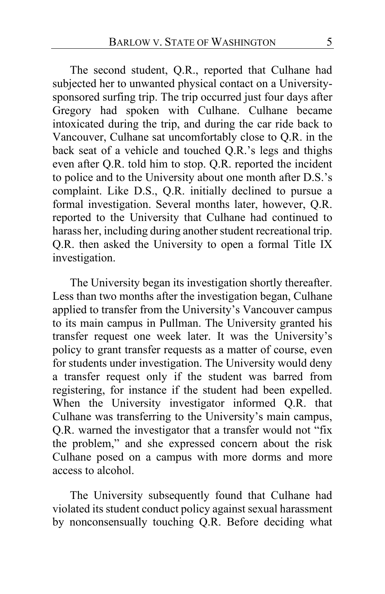The second student, Q.R., reported that Culhane had subjected her to unwanted physical contact on a Universitysponsored surfing trip. The trip occurred just four days after Gregory had spoken with Culhane. Culhane became intoxicated during the trip, and during the car ride back to Vancouver, Culhane sat uncomfortably close to Q.R. in the back seat of a vehicle and touched Q.R.'s legs and thighs even after Q.R. told him to stop. Q.R. reported the incident to police and to the University about one month after D.S.'s complaint. Like D.S., Q.R. initially declined to pursue a formal investigation. Several months later, however, Q.R. reported to the University that Culhane had continued to harass her, including during another student recreational trip. Q.R. then asked the University to open a formal Title IX investigation.

The University began its investigation shortly thereafter. Less than two months after the investigation began, Culhane applied to transfer from the University's Vancouver campus to its main campus in Pullman. The University granted his transfer request one week later. It was the University's policy to grant transfer requests as a matter of course, even for students under investigation. The University would deny a transfer request only if the student was barred from registering, for instance if the student had been expelled. When the University investigator informed Q.R. that Culhane was transferring to the University's main campus, Q.R. warned the investigator that a transfer would not "fix the problem," and she expressed concern about the risk Culhane posed on a campus with more dorms and more access to alcohol.

The University subsequently found that Culhane had violated its student conduct policy against sexual harassment by nonconsensually touching Q.R. Before deciding what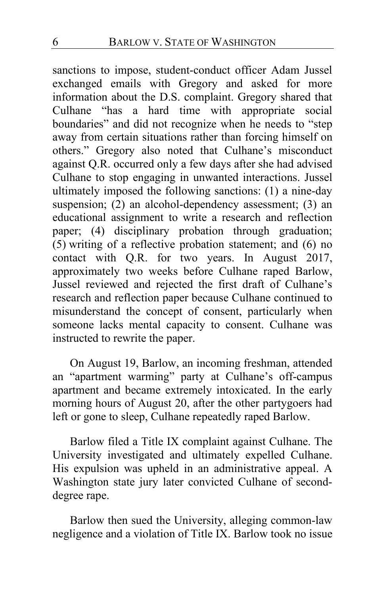sanctions to impose, student-conduct officer Adam Jussel exchanged emails with Gregory and asked for more information about the D.S. complaint. Gregory shared that Culhane "has a hard time with appropriate social boundaries" and did not recognize when he needs to "step away from certain situations rather than forcing himself on others." Gregory also noted that Culhane's misconduct against Q.R. occurred only a few days after she had advised Culhane to stop engaging in unwanted interactions. Jussel ultimately imposed the following sanctions: (1) a nine-day suspension; (2) an alcohol-dependency assessment; (3) an educational assignment to write a research and reflection paper; (4) disciplinary probation through graduation; (5) writing of a reflective probation statement; and (6) no contact with Q.R. for two years. In August 2017, approximately two weeks before Culhane raped Barlow, Jussel reviewed and rejected the first draft of Culhane's research and reflection paper because Culhane continued to misunderstand the concept of consent, particularly when someone lacks mental capacity to consent. Culhane was instructed to rewrite the paper.

On August 19, Barlow, an incoming freshman, attended an "apartment warming" party at Culhane's off-campus apartment and became extremely intoxicated. In the early morning hours of August 20, after the other partygoers had left or gone to sleep, Culhane repeatedly raped Barlow.

Barlow filed a Title IX complaint against Culhane. The University investigated and ultimately expelled Culhane. His expulsion was upheld in an administrative appeal. A Washington state jury later convicted Culhane of seconddegree rape.

Barlow then sued the University, alleging common-law negligence and a violation of Title IX. Barlow took no issue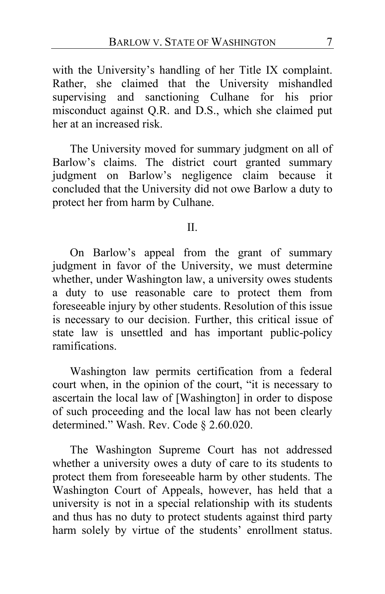with the University's handling of her Title IX complaint. Rather, she claimed that the University mishandled supervising and sanctioning Culhane for his prior misconduct against Q.R. and D.S., which she claimed put her at an increased risk.

The University moved for summary judgment on all of Barlow's claims. The district court granted summary judgment on Barlow's negligence claim because it concluded that the University did not owe Barlow a duty to protect her from harm by Culhane.

#### II.

On Barlow's appeal from the grant of summary judgment in favor of the University, we must determine whether, under Washington law, a university owes students a duty to use reasonable care to protect them from foreseeable injury by other students. Resolution of this issue is necessary to our decision. Further, this critical issue of state law is unsettled and has important public-policy ramifications.

Washington law permits certification from a federal court when, in the opinion of the court, "it is necessary to ascertain the local law of [Washington] in order to dispose of such proceeding and the local law has not been clearly determined." Wash. Rev. Code § 2.60.020.

The Washington Supreme Court has not addressed whether a university owes a duty of care to its students to protect them from foreseeable harm by other students. The Washington Court of Appeals, however, has held that a university is not in a special relationship with its students and thus has no duty to protect students against third party harm solely by virtue of the students' enrollment status.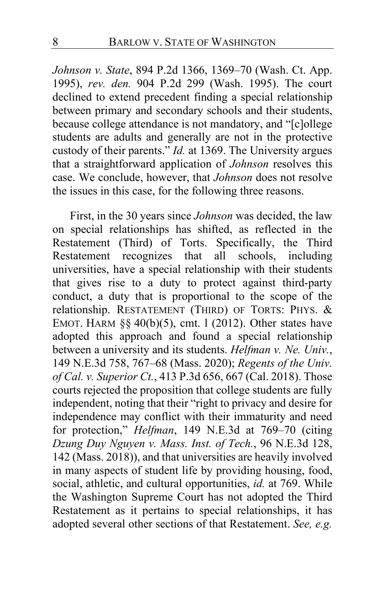*Johnson v. State*, 894 P.2d 1366, 1369–70 (Wash. Ct. App. 1995), *rev. den.* 904 P.2d 299 (Wash. 1995). The court declined to extend precedent finding a special relationship between primary and secondary schools and their students, because college attendance is not mandatory, and "[c]ollege students are adults and generally are not in the protective custody of their parents." *Id.* at 1369. The University argues that a straightforward application of *Johnson* resolves this case. We conclude, however, that *Johnson* does not resolve the issues in this case, for the following three reasons.

First, in the 30 years since *Johnson* was decided, the law on special relationships has shifted, as reflected in the Restatement (Third) of Torts. Specifically, the Third Restatement recognizes that all schools, including universities, have a special relationship with their students that gives rise to a duty to protect against third-party conduct, a duty that is proportional to the scope of the relationship. RESTATEMENT (THIRD) OF TORTS: PHYS. & EMOT. HARM  $\S$ § 40(b)(5), cmt. 1 (2012). Other states have adopted this approach and found a special relationship between a university and its students. *Helfman v. Ne. Univ.*, 149 N.E.3d 758, 767–68 (Mass. 2020); *Regents of the Univ. of Cal. v. Superior Ct.*, 413 P.3d 656, 667 (Cal. 2018). Those courts rejected the proposition that college students are fully independent, noting that their "right to privacy and desire for independence may conflict with their immaturity and need for protection," *Helfman*, 149 N.E.3d at 769–70 (citing *Dzung Duy Nguyen v. Mass. Inst. of Tech.*, 96 N.E.3d 128, 142 (Mass. 2018)), and that universities are heavily involved in many aspects of student life by providing housing, food, social, athletic, and cultural opportunities, *id.* at 769. While the Washington Supreme Court has not adopted the Third Restatement as it pertains to special relationships, it has adopted several other sections of that Restatement. *See, e.g.*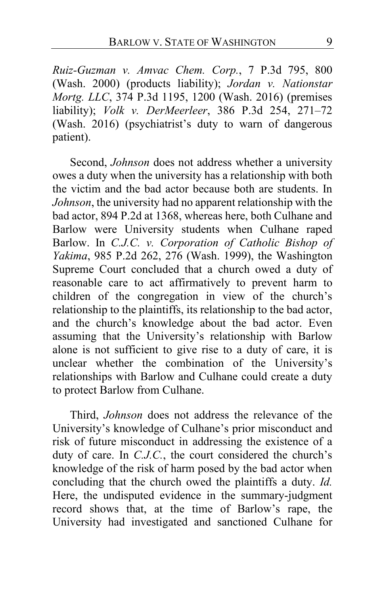*Ruiz-Guzman v. Amvac Chem. Corp.*, 7 P.3d 795, 800 (Wash. 2000) (products liability); *Jordan v. Nationstar Mortg. LLC*, 374 P.3d 1195, 1200 (Wash. 2016) (premises liability); *Volk v. DerMeerleer*, 386 P.3d 254, 271–72 (Wash. 2016) (psychiatrist's duty to warn of dangerous patient).

Second, *Johnson* does not address whether a university owes a duty when the university has a relationship with both the victim and the bad actor because both are students. In *Johnson*, the university had no apparent relationship with the bad actor, 894 P.2d at 1368, whereas here, both Culhane and Barlow were University students when Culhane raped Barlow. In *C.J.C. v. Corporation of Catholic Bishop of Yakima*, 985 P.2d 262, 276 (Wash. 1999), the Washington Supreme Court concluded that a church owed a duty of reasonable care to act affirmatively to prevent harm to children of the congregation in view of the church's relationship to the plaintiffs, its relationship to the bad actor, and the church's knowledge about the bad actor. Even assuming that the University's relationship with Barlow alone is not sufficient to give rise to a duty of care, it is unclear whether the combination of the University's relationships with Barlow and Culhane could create a duty to protect Barlow from Culhane.

Third, *Johnson* does not address the relevance of the University's knowledge of Culhane's prior misconduct and risk of future misconduct in addressing the existence of a duty of care. In *C.J.C.*, the court considered the church's knowledge of the risk of harm posed by the bad actor when concluding that the church owed the plaintiffs a duty. *Id.* Here, the undisputed evidence in the summary-judgment record shows that, at the time of Barlow's rape, the University had investigated and sanctioned Culhane for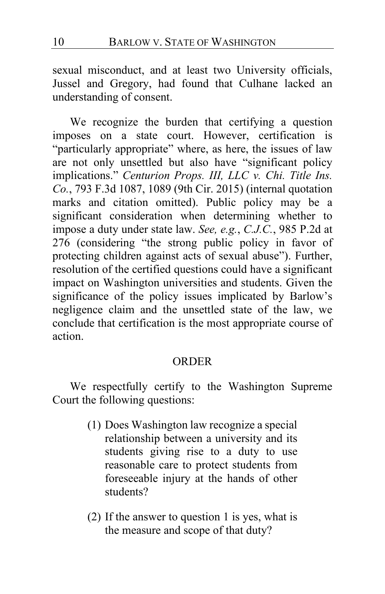sexual misconduct, and at least two University officials, Jussel and Gregory, had found that Culhane lacked an understanding of consent.

We recognize the burden that certifying a question imposes on a state court. However, certification is "particularly appropriate" where, as here, the issues of law are not only unsettled but also have "significant policy implications." *Centurion Props. III, LLC v. Chi. Title Ins. Co.*, 793 F.3d 1087, 1089 (9th Cir. 2015) (internal quotation marks and citation omitted). Public policy may be a significant consideration when determining whether to impose a duty under state law. *See, e.g.*, *C.J.C.*, 985 P.2d at 276 (considering "the strong public policy in favor of protecting children against acts of sexual abuse"). Further, resolution of the certified questions could have a significant impact on Washington universities and students. Given the significance of the policy issues implicated by Barlow's negligence claim and the unsettled state of the law, we conclude that certification is the most appropriate course of action.

#### ORDER

We respectfully certify to the Washington Supreme Court the following questions:

- (1) Does Washington law recognize a special relationship between a university and its students giving rise to a duty to use reasonable care to protect students from foreseeable injury at the hands of other students?
- (2) If the answer to question 1 is yes, what is the measure and scope of that duty?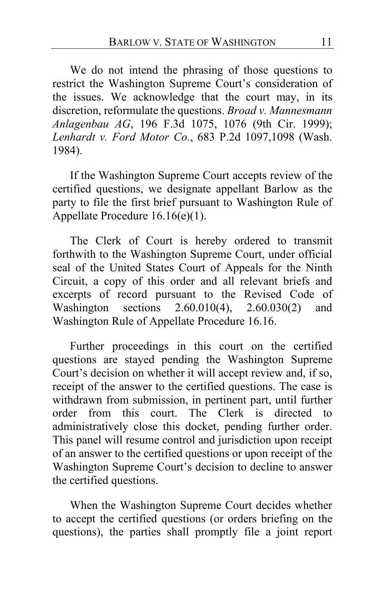We do not intend the phrasing of those questions to restrict the Washington Supreme Court's consideration of the issues. We acknowledge that the court may, in its discretion, reformulate the questions. *Broad v. Mannesmann Anlagenbau AG*, 196 F.3d 1075, 1076 (9th Cir. 1999); *Lenhardt v. Ford Motor Co.*, 683 P.2d 1097,1098 (Wash. 1984).

If the Washington Supreme Court accepts review of the certified questions, we designate appellant Barlow as the party to file the first brief pursuant to Washington Rule of Appellate Procedure 16.16(e)(1).

The Clerk of Court is hereby ordered to transmit forthwith to the Washington Supreme Court, under official seal of the United States Court of Appeals for the Ninth Circuit, a copy of this order and all relevant briefs and excerpts of record pursuant to the Revised Code of Washington sections 2.60.010(4), 2.60.030(2) and Washington Rule of Appellate Procedure 16.16.

Further proceedings in this court on the certified questions are stayed pending the Washington Supreme Court's decision on whether it will accept review and, if so, receipt of the answer to the certified questions. The case is withdrawn from submission, in pertinent part, until further<br>order from this court. The Clerk is directed to The Clerk is directed to administratively close this docket, pending further order. This panel will resume control and jurisdiction upon receipt of an answer to the certified questions or upon receipt of the Washington Supreme Court's decision to decline to answer the certified questions.

When the Washington Supreme Court decides whether to accept the certified questions (or orders briefing on the questions), the parties shall promptly file a joint report